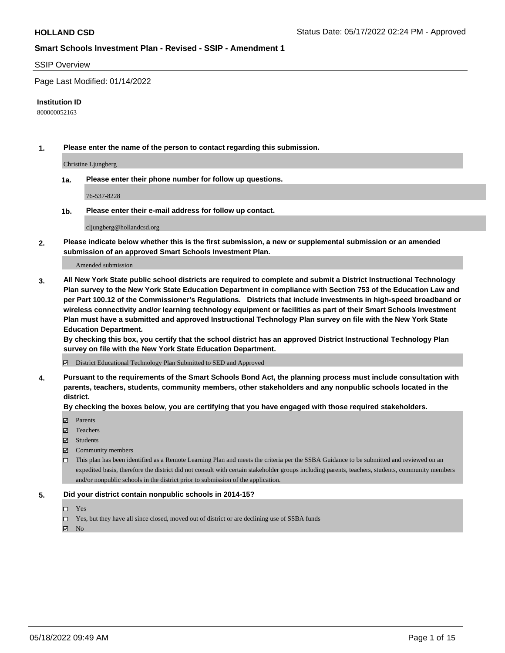### SSIP Overview

Page Last Modified: 01/14/2022

### **Institution ID**

800000052163

**1. Please enter the name of the person to contact regarding this submission.**

Christine Ljungberg

**1a. Please enter their phone number for follow up questions.**

76-537-8228

**1b. Please enter their e-mail address for follow up contact.**

cljungberg@hollandcsd.org

**2. Please indicate below whether this is the first submission, a new or supplemental submission or an amended submission of an approved Smart Schools Investment Plan.**

Amended submission

**3. All New York State public school districts are required to complete and submit a District Instructional Technology Plan survey to the New York State Education Department in compliance with Section 753 of the Education Law and per Part 100.12 of the Commissioner's Regulations. Districts that include investments in high-speed broadband or wireless connectivity and/or learning technology equipment or facilities as part of their Smart Schools Investment Plan must have a submitted and approved Instructional Technology Plan survey on file with the New York State Education Department.** 

**By checking this box, you certify that the school district has an approved District Instructional Technology Plan survey on file with the New York State Education Department.**

District Educational Technology Plan Submitted to SED and Approved

**4. Pursuant to the requirements of the Smart Schools Bond Act, the planning process must include consultation with parents, teachers, students, community members, other stakeholders and any nonpublic schools located in the district.** 

**By checking the boxes below, you are certifying that you have engaged with those required stakeholders.**

- $\blacksquare$  Parents
- Teachers
- Students
- $\Xi$  Community members
- This plan has been identified as a Remote Learning Plan and meets the criteria per the SSBA Guidance to be submitted and reviewed on an expedited basis, therefore the district did not consult with certain stakeholder groups including parents, teachers, students, community members and/or nonpublic schools in the district prior to submission of the application.

### **5. Did your district contain nonpublic schools in 2014-15?**

- Yes
- $\Box$  Yes, but they have all since closed, moved out of district or are declining use of SSBA funds

 $\boxtimes$  No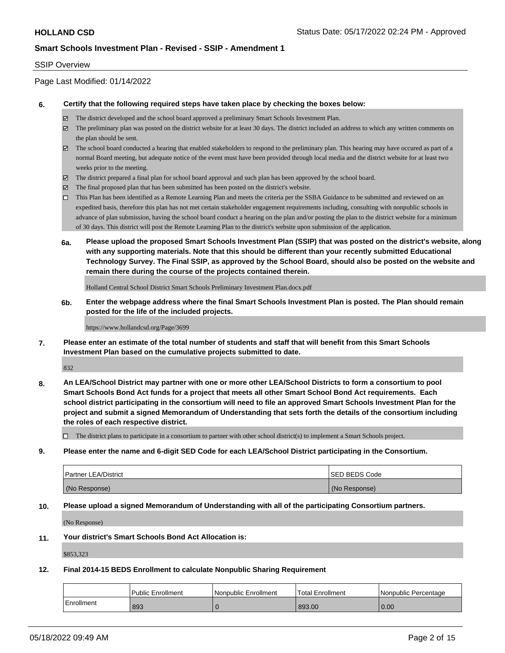### SSIP Overview

Page Last Modified: 01/14/2022

### **6. Certify that the following required steps have taken place by checking the boxes below:**

- The district developed and the school board approved a preliminary Smart Schools Investment Plan.
- $\boxtimes$  The preliminary plan was posted on the district website for at least 30 days. The district included an address to which any written comments on the plan should be sent.
- $\boxtimes$  The school board conducted a hearing that enabled stakeholders to respond to the preliminary plan. This hearing may have occured as part of a normal Board meeting, but adequate notice of the event must have been provided through local media and the district website for at least two weeks prior to the meeting.
- The district prepared a final plan for school board approval and such plan has been approved by the school board.
- $\boxtimes$  The final proposed plan that has been submitted has been posted on the district's website.
- This Plan has been identified as a Remote Learning Plan and meets the criteria per the SSBA Guidance to be submitted and reviewed on an expedited basis, therefore this plan has not met certain stakeholder engagement requirements including, consulting with nonpublic schools in advance of plan submission, having the school board conduct a hearing on the plan and/or posting the plan to the district website for a minimum of 30 days. This district will post the Remote Learning Plan to the district's website upon submission of the application.
- **6a. Please upload the proposed Smart Schools Investment Plan (SSIP) that was posted on the district's website, along with any supporting materials. Note that this should be different than your recently submitted Educational Technology Survey. The Final SSIP, as approved by the School Board, should also be posted on the website and remain there during the course of the projects contained therein.**

Holland Central School District Smart Schools Preliminary Investment Plan.docx.pdf

**6b. Enter the webpage address where the final Smart Schools Investment Plan is posted. The Plan should remain posted for the life of the included projects.**

#### https://www.hollandcsd.org/Page/3699

**7. Please enter an estimate of the total number of students and staff that will benefit from this Smart Schools Investment Plan based on the cumulative projects submitted to date.**

832

**8. An LEA/School District may partner with one or more other LEA/School Districts to form a consortium to pool Smart Schools Bond Act funds for a project that meets all other Smart School Bond Act requirements. Each school district participating in the consortium will need to file an approved Smart Schools Investment Plan for the project and submit a signed Memorandum of Understanding that sets forth the details of the consortium including the roles of each respective district.**

 $\Box$  The district plans to participate in a consortium to partner with other school district(s) to implement a Smart Schools project.

**9. Please enter the name and 6-digit SED Code for each LEA/School District participating in the Consortium.**

| <b>Partner LEA/District</b> | <b>ISED BEDS Code</b> |
|-----------------------------|-----------------------|
| (No Response)               | (No Response)         |

### **10. Please upload a signed Memorandum of Understanding with all of the participating Consortium partners.**

(No Response)

### **11. Your district's Smart Schools Bond Act Allocation is:**

\$853,323

### **12. Final 2014-15 BEDS Enrollment to calculate Nonpublic Sharing Requirement**

|            | <b>Public Enrollment</b> | Nonpublic Enrollment | 'Total Enrollment | l Nonpublic Percentage |
|------------|--------------------------|----------------------|-------------------|------------------------|
| Enrollment | 893                      |                      | 893.00            | 0.00                   |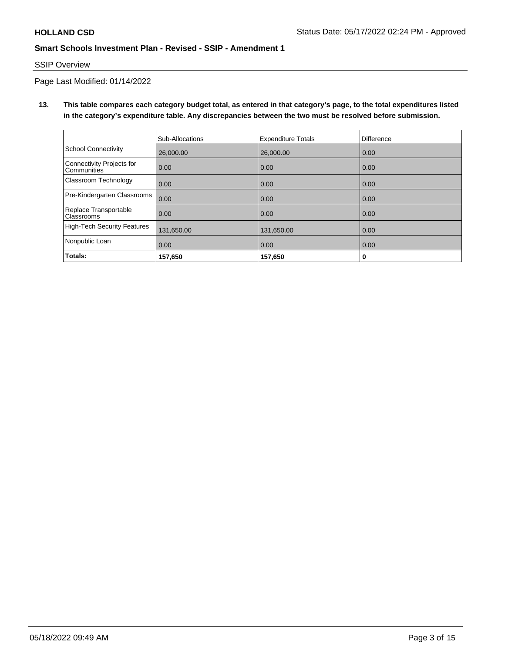# SSIP Overview

Page Last Modified: 01/14/2022

**13. This table compares each category budget total, as entered in that category's page, to the total expenditures listed in the category's expenditure table. Any discrepancies between the two must be resolved before submission.**

|                                            | Sub-Allocations | <b>Expenditure Totals</b> | <b>Difference</b> |
|--------------------------------------------|-----------------|---------------------------|-------------------|
| <b>School Connectivity</b>                 | 26,000,00       | 26,000,00                 | 0.00              |
| Connectivity Projects for<br>Communities   | 0.00            | 0.00                      | 0.00              |
| Classroom Technology                       | 0.00            | 0.00                      | 0.00              |
| Pre-Kindergarten Classrooms                | 0.00            | 0.00                      | 0.00              |
| Replace Transportable<br><b>Classrooms</b> | 0.00            | 0.00                      | 0.00              |
| High-Tech Security Features                | 131,650.00      | 131,650.00                | 0.00              |
| Nonpublic Loan                             | 0.00            | 0.00                      | 0.00              |
| Totals:                                    | 157,650         | 157,650                   | 0                 |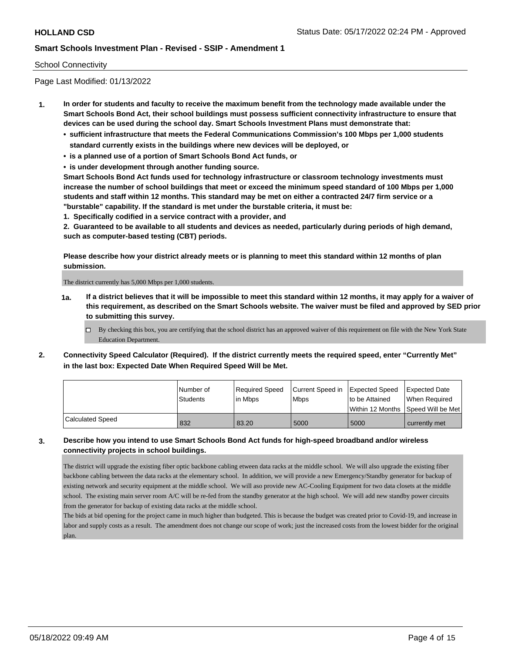## School Connectivity

Page Last Modified: 01/13/2022

- **1. In order for students and faculty to receive the maximum benefit from the technology made available under the Smart Schools Bond Act, their school buildings must possess sufficient connectivity infrastructure to ensure that devices can be used during the school day. Smart Schools Investment Plans must demonstrate that:**
	- **• sufficient infrastructure that meets the Federal Communications Commission's 100 Mbps per 1,000 students standard currently exists in the buildings where new devices will be deployed, or**
	- **• is a planned use of a portion of Smart Schools Bond Act funds, or**
	- **• is under development through another funding source.**

**Smart Schools Bond Act funds used for technology infrastructure or classroom technology investments must increase the number of school buildings that meet or exceed the minimum speed standard of 100 Mbps per 1,000 students and staff within 12 months. This standard may be met on either a contracted 24/7 firm service or a "burstable" capability. If the standard is met under the burstable criteria, it must be:**

**1. Specifically codified in a service contract with a provider, and**

**2. Guaranteed to be available to all students and devices as needed, particularly during periods of high demand, such as computer-based testing (CBT) periods.**

**Please describe how your district already meets or is planning to meet this standard within 12 months of plan submission.**

The district currently has 5,000 Mbps per 1,000 students.

- **1a. If a district believes that it will be impossible to meet this standard within 12 months, it may apply for a waiver of this requirement, as described on the Smart Schools website. The waiver must be filed and approved by SED prior to submitting this survey.**
	- By checking this box, you are certifying that the school district has an approved waiver of this requirement on file with the New York State Education Department.
- **2. Connectivity Speed Calculator (Required). If the district currently meets the required speed, enter "Currently Met" in the last box: Expected Date When Required Speed Will be Met.**

|                  | l Number of | Reauired Speed | Current Speed in Expected Speed |                                    | <b>Expected Date</b> |
|------------------|-------------|----------------|---------------------------------|------------------------------------|----------------------|
|                  | Students    | in Mbps        | <b>Mbps</b>                     | to be Attained                     | When Required        |
|                  |             |                |                                 | Within 12 Months Speed Will be Met |                      |
| Calculated Speed | 832         | 83.20          | 5000                            | 5000                               | currently met        |

# **3. Describe how you intend to use Smart Schools Bond Act funds for high-speed broadband and/or wireless connectivity projects in school buildings.**

The district will upgrade the existing fiber optic backbone cabling etween data racks at the middle school. We will also upgrade the existing fiber backbone cabling between the data racks at the elementary school. In addition, we will provide a new Emergency/Standby generator for backup of existing network and security equipment at the middle school. We will aso provide new AC-Cooling Equipment for two data closets at the middle school. The existing main server room A/C will be re-fed from the standby generator at the high school. We will add new standby power circuits from the generator for backup of existing data racks at the middle school.

The bids at bid opening for the project came in much higher than budgeted. This is because the budget was created prior to Covid-19, and increase in labor and supply costs as a result. The amendment does not change our scope of work; just the increased costs from the lowest bidder for the original plan.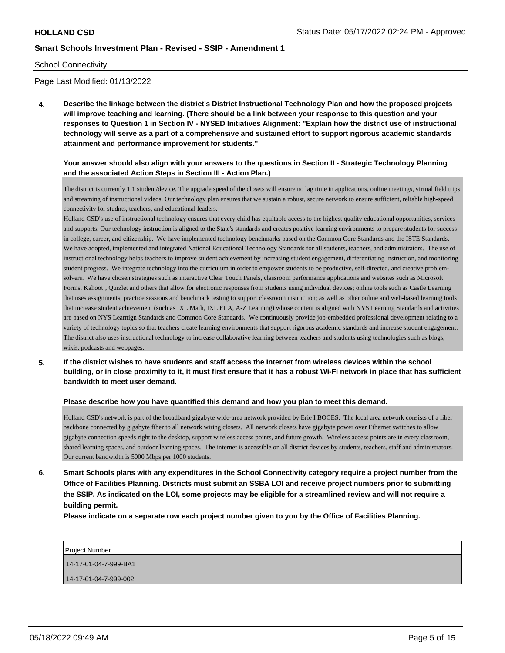### School Connectivity

Page Last Modified: 01/13/2022

**4. Describe the linkage between the district's District Instructional Technology Plan and how the proposed projects will improve teaching and learning. (There should be a link between your response to this question and your responses to Question 1 in Section IV - NYSED Initiatives Alignment: "Explain how the district use of instructional technology will serve as a part of a comprehensive and sustained effort to support rigorous academic standards attainment and performance improvement for students."** 

## **Your answer should also align with your answers to the questions in Section II - Strategic Technology Planning and the associated Action Steps in Section III - Action Plan.)**

The district is currently 1:1 student/device. The upgrade speed of the closets will ensure no lag time in applications, online meetings, virtual field trips and streaming of instructional videos. Our technology plan ensures that we sustain a robust, secure network to ensure sufficient, reliable high-speed connectivity for studnts, teachers, and educational leaders.

Holland CSD's use of instructional technology ensures that every child has equitable access to the highest quality educational opportunities, services and supports. Our technology instruction is aligned to the State's standards and creates positive learning environments to prepare students for success in college, career, and citizenship. We have implemented technology benchmarks based on the Common Core Standards and the ISTE Standards. We have adopted, implemented and integrated National Educational Technology Standards for all students, teachers, and administrators. The use of instructional technology helps teachers to improve student achievement by increasing student engagement, differentiating instruction, and monitoring student progress. We integrate technology into the curriculum in order to empower students to be productive, self-directed, and creative problemsolvers. We have chosen strategies such as interactive Clear Touch Panels, classroom performance applications and websites such as Microsoft Forms, Kahoot!, Quizlet and others that allow for electronic responses from students using individual devices; online tools such as Castle Learning that uses assignments, practice sessions and benchmark testing to support classroom instruction; as well as other online and web-based learning tools that increase student achievement (such as IXL Math, IXL ELA, A-Z Learning) whose content is aligned with NYS Learning Standards and activities are based on NYS Learnign Standards and Common Core Standards. We continuously provide job-embedded professional development relating to a variety of technology topics so that teachers create learning environments that support rigorous academic standards and increase student engagement. The district also uses instructional technology to increase collaborative learning between teachers and students using technologies such as blogs, wikis, podcasts and webpages.

**5. If the district wishes to have students and staff access the Internet from wireless devices within the school building, or in close proximity to it, it must first ensure that it has a robust Wi-Fi network in place that has sufficient bandwidth to meet user demand.**

### **Please describe how you have quantified this demand and how you plan to meet this demand.**

Holland CSD's network is part of the broadband gigabyte wide-area network provided by Erie I BOCES. The local area network consists of a fiber backbone connected by gigabyte fiber to all network wiring closets. All network closets have gigabyte power over Ethernet switches to allow gigabyte connection speeds right to the desktop, support wireless access points, and future growth. Wireless access points are in every classroom, shared learning spaces, and outdoor learning spaces. The internet is accessible on all district devices by students, teachers, staff and administrators. Our current bandwidth is 5000 Mbps per 1000 students.

**6. Smart Schools plans with any expenditures in the School Connectivity category require a project number from the Office of Facilities Planning. Districts must submit an SSBA LOI and receive project numbers prior to submitting the SSIP. As indicated on the LOI, some projects may be eligible for a streamlined review and will not require a building permit.**

**Please indicate on a separate row each project number given to you by the Office of Facilities Planning.**

| <b>Project Number</b> |
|-----------------------|
| 14-17-01-04-7-999-BA1 |
| 14-17-01-04-7-999-002 |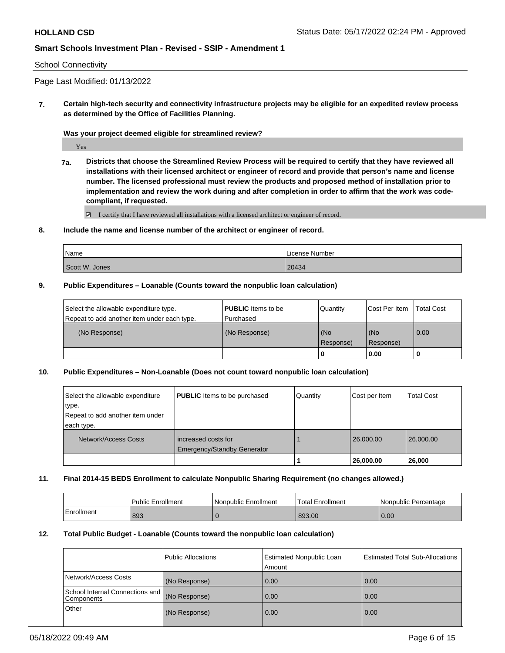### School Connectivity

Page Last Modified: 01/13/2022

**7. Certain high-tech security and connectivity infrastructure projects may be eligible for an expedited review process as determined by the Office of Facilities Planning.**

**Was your project deemed eligible for streamlined review?**

Yes

**7a. Districts that choose the Streamlined Review Process will be required to certify that they have reviewed all installations with their licensed architect or engineer of record and provide that person's name and license number. The licensed professional must review the products and proposed method of installation prior to implementation and review the work during and after completion in order to affirm that the work was codecompliant, if requested.**

■ I certify that I have reviewed all installations with a licensed architect or engineer of record.

### **8. Include the name and license number of the architect or engineer of record.**

| Name           | License Number |
|----------------|----------------|
| Scott W. Jones | 20434          |

### **9. Public Expenditures – Loanable (Counts toward the nonpublic loan calculation)**

| Select the allowable expenditure type.      | <b>PUBLIC</b> Items to be | Quantity         | Cost Per Item    | <b>Total Cost</b> |
|---------------------------------------------|---------------------------|------------------|------------------|-------------------|
| Repeat to add another item under each type. | l Purchased               |                  |                  |                   |
| (No Response)                               | (No Response)             | (No<br>Response) | (No<br>Response) | 0.00              |
|                                             |                           | -0               | 0.00             |                   |

### **10. Public Expenditures – Non-Loanable (Does not count toward nonpublic loan calculation)**

| Select the allowable expenditure | <b>PUBLIC</b> Items to be purchased                | Quantity | Cost per Item | <b>Total Cost</b> |
|----------------------------------|----------------------------------------------------|----------|---------------|-------------------|
| type.                            |                                                    |          |               |                   |
| Repeat to add another item under |                                                    |          |               |                   |
| each type.                       |                                                    |          |               |                   |
| Network/Access Costs             | increased costs for<br>Emergency/Standby Generator |          | 26,000.00     | 26,000,00         |
|                                  |                                                    |          | 26,000.00     | 26,000            |

### **11. Final 2014-15 BEDS Enrollment to calculate Nonpublic Sharing Requirement (no changes allowed.)**

|            | l Public Enrollment | l Nonpublic Enrollment | 'Total Enrollment | Nonpublic Percentage |
|------------|---------------------|------------------------|-------------------|----------------------|
| Enrollment | 893                 |                        | 893.00            | 0.00                 |

## **12. Total Public Budget - Loanable (Counts toward the nonpublic loan calculation)**

|                                               | Public Allocations | Estimated Nonpublic Loan<br>Amount | <b>Estimated Total Sub-Allocations</b> |
|-----------------------------------------------|--------------------|------------------------------------|----------------------------------------|
| Network/Access Costs                          | (No Response)      | 0.00                               | 0.00                                   |
| School Internal Connections and<br>Components | (No Response)      | 0.00                               | 0.00                                   |
| Other                                         | (No Response)      | 0.00                               | 0.00                                   |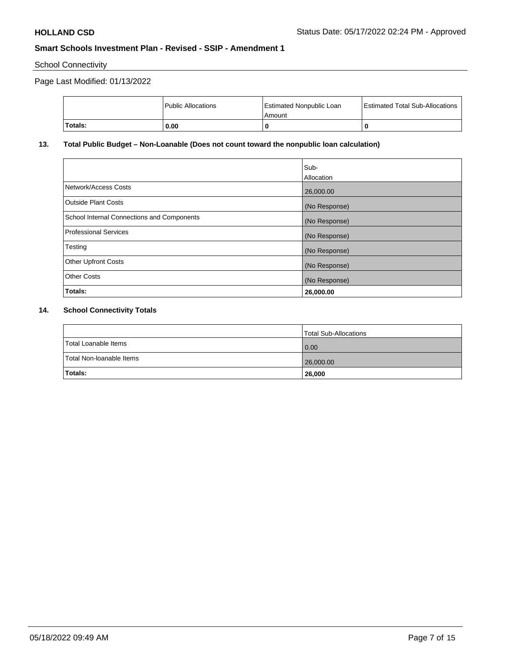School Connectivity

# Page Last Modified: 01/13/2022

| Totals: | 0.00                 | Amount                          |                                        |
|---------|----------------------|---------------------------------|----------------------------------------|
|         |                      |                                 |                                        |
|         | l Public Allocations | <b>Estimated Nonpublic Loan</b> | <b>Estimated Total Sub-Allocations</b> |

## **13. Total Public Budget – Non-Loanable (Does not count toward the nonpublic loan calculation)**

|                                            | Sub-<br>Allocation |
|--------------------------------------------|--------------------|
| Network/Access Costs                       | 26,000.00          |
| <b>Outside Plant Costs</b>                 | (No Response)      |
| School Internal Connections and Components | (No Response)      |
| <b>Professional Services</b>               | (No Response)      |
| Testing                                    | (No Response)      |
| <b>Other Upfront Costs</b>                 | (No Response)      |
| <b>Other Costs</b>                         | (No Response)      |
| Totals:                                    | 26,000.00          |

## **14. School Connectivity Totals**

|                          | Total Sub-Allocations |
|--------------------------|-----------------------|
| Total Loanable Items     | 0.00                  |
| Total Non-Ioanable Items | 26,000.00             |
| Totals:                  | 26,000                |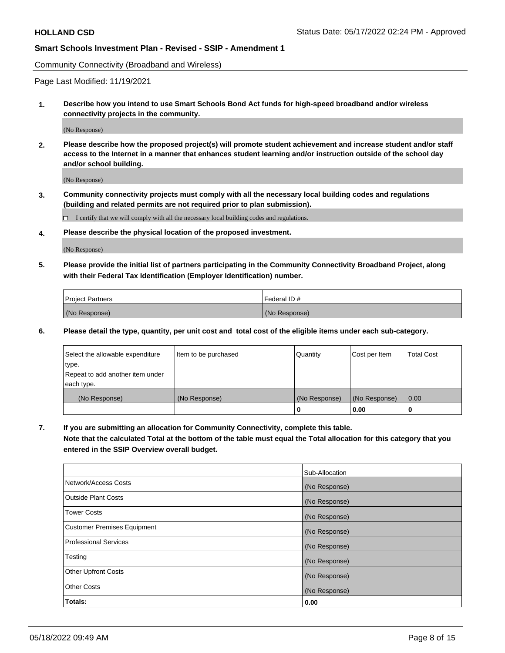Community Connectivity (Broadband and Wireless)

Page Last Modified: 11/19/2021

**1. Describe how you intend to use Smart Schools Bond Act funds for high-speed broadband and/or wireless connectivity projects in the community.**

(No Response)

**2. Please describe how the proposed project(s) will promote student achievement and increase student and/or staff access to the Internet in a manner that enhances student learning and/or instruction outside of the school day and/or school building.**

(No Response)

**3. Community connectivity projects must comply with all the necessary local building codes and regulations (building and related permits are not required prior to plan submission).**

 $\Box$  I certify that we will comply with all the necessary local building codes and regulations.

**4. Please describe the physical location of the proposed investment.**

(No Response)

**5. Please provide the initial list of partners participating in the Community Connectivity Broadband Project, along with their Federal Tax Identification (Employer Identification) number.**

| <b>Project Partners</b> | Federal ID#   |
|-------------------------|---------------|
| (No Response)           | (No Response) |

**6. Please detail the type, quantity, per unit cost and total cost of the eligible items under each sub-category.**

| Select the allowable expenditure | Item to be purchased | Quantity      | Cost per Item | <b>Total Cost</b> |
|----------------------------------|----------------------|---------------|---------------|-------------------|
| type.                            |                      |               |               |                   |
| Repeat to add another item under |                      |               |               |                   |
| each type.                       |                      |               |               |                   |
| (No Response)                    | (No Response)        | (No Response) | (No Response) | 0.00              |
|                                  |                      | 0             | 0.00          |                   |

**7. If you are submitting an allocation for Community Connectivity, complete this table.**

**Note that the calculated Total at the bottom of the table must equal the Total allocation for this category that you entered in the SSIP Overview overall budget.**

|                                    | Sub-Allocation |
|------------------------------------|----------------|
| Network/Access Costs               | (No Response)  |
| Outside Plant Costs                | (No Response)  |
| <b>Tower Costs</b>                 | (No Response)  |
| <b>Customer Premises Equipment</b> | (No Response)  |
| Professional Services              | (No Response)  |
| Testing                            | (No Response)  |
| <b>Other Upfront Costs</b>         | (No Response)  |
| <b>Other Costs</b>                 | (No Response)  |
| Totals:                            | 0.00           |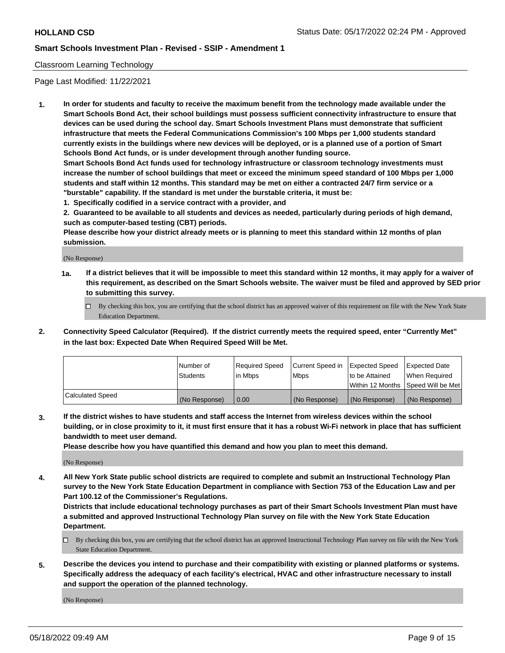## Classroom Learning Technology

Page Last Modified: 11/22/2021

**1. In order for students and faculty to receive the maximum benefit from the technology made available under the Smart Schools Bond Act, their school buildings must possess sufficient connectivity infrastructure to ensure that devices can be used during the school day. Smart Schools Investment Plans must demonstrate that sufficient infrastructure that meets the Federal Communications Commission's 100 Mbps per 1,000 students standard currently exists in the buildings where new devices will be deployed, or is a planned use of a portion of Smart Schools Bond Act funds, or is under development through another funding source.**

**Smart Schools Bond Act funds used for technology infrastructure or classroom technology investments must increase the number of school buildings that meet or exceed the minimum speed standard of 100 Mbps per 1,000 students and staff within 12 months. This standard may be met on either a contracted 24/7 firm service or a "burstable" capability. If the standard is met under the burstable criteria, it must be:**

**1. Specifically codified in a service contract with a provider, and**

**2. Guaranteed to be available to all students and devices as needed, particularly during periods of high demand, such as computer-based testing (CBT) periods.**

**Please describe how your district already meets or is planning to meet this standard within 12 months of plan submission.**

(No Response)

- **1a. If a district believes that it will be impossible to meet this standard within 12 months, it may apply for a waiver of this requirement, as described on the Smart Schools website. The waiver must be filed and approved by SED prior to submitting this survey.**
	- By checking this box, you are certifying that the school district has an approved waiver of this requirement on file with the New York State Education Department.
- **2. Connectivity Speed Calculator (Required). If the district currently meets the required speed, enter "Currently Met" in the last box: Expected Date When Required Speed Will be Met.**

|                  | Number of     | Required Speed | Current Speed in | Expected Speed | Expected Date                           |
|------------------|---------------|----------------|------------------|----------------|-----------------------------------------|
|                  | Students      | lin Mbps       | <b>Mbps</b>      | to be Attained | When Required                           |
|                  |               |                |                  |                | l Within 12 Months ISpeed Will be Met l |
| Calculated Speed | (No Response) | 0.00           | (No Response)    | (No Response)  | (No Response)                           |

**3. If the district wishes to have students and staff access the Internet from wireless devices within the school building, or in close proximity to it, it must first ensure that it has a robust Wi-Fi network in place that has sufficient bandwidth to meet user demand.**

**Please describe how you have quantified this demand and how you plan to meet this demand.**

(No Response)

**4. All New York State public school districts are required to complete and submit an Instructional Technology Plan survey to the New York State Education Department in compliance with Section 753 of the Education Law and per Part 100.12 of the Commissioner's Regulations.**

**Districts that include educational technology purchases as part of their Smart Schools Investment Plan must have a submitted and approved Instructional Technology Plan survey on file with the New York State Education Department.**

- By checking this box, you are certifying that the school district has an approved Instructional Technology Plan survey on file with the New York State Education Department.
- **5. Describe the devices you intend to purchase and their compatibility with existing or planned platforms or systems. Specifically address the adequacy of each facility's electrical, HVAC and other infrastructure necessary to install and support the operation of the planned technology.**

(No Response)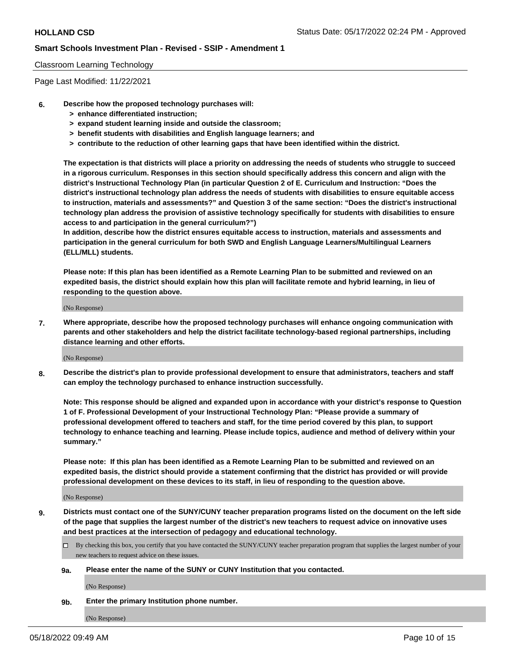### Classroom Learning Technology

Page Last Modified: 11/22/2021

- **6. Describe how the proposed technology purchases will:**
	- **> enhance differentiated instruction;**
	- **> expand student learning inside and outside the classroom;**
	- **> benefit students with disabilities and English language learners; and**
	- **> contribute to the reduction of other learning gaps that have been identified within the district.**

**The expectation is that districts will place a priority on addressing the needs of students who struggle to succeed in a rigorous curriculum. Responses in this section should specifically address this concern and align with the district's Instructional Technology Plan (in particular Question 2 of E. Curriculum and Instruction: "Does the district's instructional technology plan address the needs of students with disabilities to ensure equitable access to instruction, materials and assessments?" and Question 3 of the same section: "Does the district's instructional technology plan address the provision of assistive technology specifically for students with disabilities to ensure access to and participation in the general curriculum?")**

**In addition, describe how the district ensures equitable access to instruction, materials and assessments and participation in the general curriculum for both SWD and English Language Learners/Multilingual Learners (ELL/MLL) students.**

**Please note: If this plan has been identified as a Remote Learning Plan to be submitted and reviewed on an expedited basis, the district should explain how this plan will facilitate remote and hybrid learning, in lieu of responding to the question above.**

(No Response)

**7. Where appropriate, describe how the proposed technology purchases will enhance ongoing communication with parents and other stakeholders and help the district facilitate technology-based regional partnerships, including distance learning and other efforts.**

(No Response)

**8. Describe the district's plan to provide professional development to ensure that administrators, teachers and staff can employ the technology purchased to enhance instruction successfully.**

**Note: This response should be aligned and expanded upon in accordance with your district's response to Question 1 of F. Professional Development of your Instructional Technology Plan: "Please provide a summary of professional development offered to teachers and staff, for the time period covered by this plan, to support technology to enhance teaching and learning. Please include topics, audience and method of delivery within your summary."**

**Please note: If this plan has been identified as a Remote Learning Plan to be submitted and reviewed on an expedited basis, the district should provide a statement confirming that the district has provided or will provide professional development on these devices to its staff, in lieu of responding to the question above.**

(No Response)

**9. Districts must contact one of the SUNY/CUNY teacher preparation programs listed on the document on the left side of the page that supplies the largest number of the district's new teachers to request advice on innovative uses and best practices at the intersection of pedagogy and educational technology.**

- By checking this box, you certify that you have contacted the SUNY/CUNY teacher preparation program that supplies the largest number of your new teachers to request advice on these issues.
- **9a. Please enter the name of the SUNY or CUNY Institution that you contacted.**

(No Response)

**9b. Enter the primary Institution phone number.**

(No Response)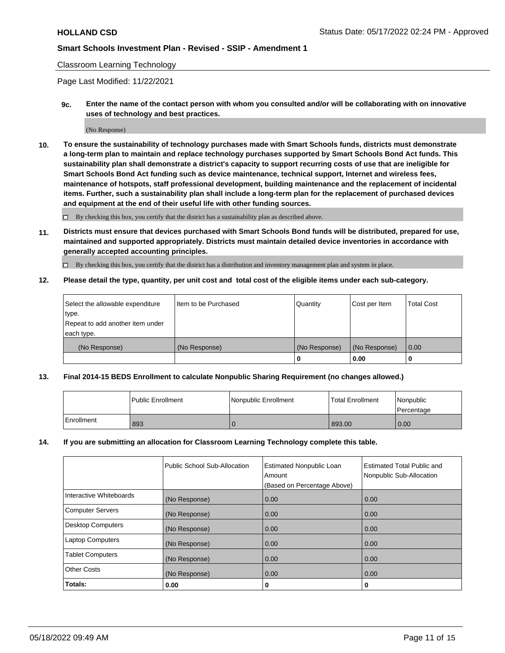## Classroom Learning Technology

Page Last Modified: 11/22/2021

**9c. Enter the name of the contact person with whom you consulted and/or will be collaborating with on innovative uses of technology and best practices.**

(No Response)

**10. To ensure the sustainability of technology purchases made with Smart Schools funds, districts must demonstrate a long-term plan to maintain and replace technology purchases supported by Smart Schools Bond Act funds. This sustainability plan shall demonstrate a district's capacity to support recurring costs of use that are ineligible for Smart Schools Bond Act funding such as device maintenance, technical support, Internet and wireless fees, maintenance of hotspots, staff professional development, building maintenance and the replacement of incidental items. Further, such a sustainability plan shall include a long-term plan for the replacement of purchased devices and equipment at the end of their useful life with other funding sources.**

 $\square$  By checking this box, you certify that the district has a sustainability plan as described above.

**11. Districts must ensure that devices purchased with Smart Schools Bond funds will be distributed, prepared for use, maintained and supported appropriately. Districts must maintain detailed device inventories in accordance with generally accepted accounting principles.**

By checking this box, you certify that the district has a distribution and inventory management plan and system in place.

**12. Please detail the type, quantity, per unit cost and total cost of the eligible items under each sub-category.**

| Select the allowable expenditure<br>type. | I Item to be Purchased | Quantity      | Cost per Item | Total Cost |
|-------------------------------------------|------------------------|---------------|---------------|------------|
| Repeat to add another item under          |                        |               |               |            |
| each type.                                |                        |               |               |            |
| (No Response)                             | (No Response)          | (No Response) | (No Response) | 0.00       |
|                                           |                        | u             | 0.00          |            |

## **13. Final 2014-15 BEDS Enrollment to calculate Nonpublic Sharing Requirement (no changes allowed.)**

|            | l Public Enrollment | Nonpublic Enrollment | <b>Total Enrollment</b> | Nonpublic<br>l Percentage |
|------------|---------------------|----------------------|-------------------------|---------------------------|
| Enrollment | 893                 |                      | 893.00                  | 0.00                      |

### **14. If you are submitting an allocation for Classroom Learning Technology complete this table.**

|                          | Public School Sub-Allocation | <b>Estimated Nonpublic Loan</b><br>Amount | <b>Estimated Total Public and</b><br>Nonpublic Sub-Allocation |
|--------------------------|------------------------------|-------------------------------------------|---------------------------------------------------------------|
|                          |                              | (Based on Percentage Above)               |                                                               |
| Interactive Whiteboards  | (No Response)                | 0.00                                      | 0.00                                                          |
| <b>Computer Servers</b>  | (No Response)                | 0.00                                      | 0.00                                                          |
| <b>Desktop Computers</b> | (No Response)                | 0.00                                      | 0.00                                                          |
| <b>Laptop Computers</b>  | (No Response)                | 0.00                                      | 0.00                                                          |
| <b>Tablet Computers</b>  | (No Response)                | 0.00                                      | 0.00                                                          |
| <b>Other Costs</b>       | (No Response)                | 0.00                                      | 0.00                                                          |
| Totals:                  | 0.00                         | 0                                         | 0                                                             |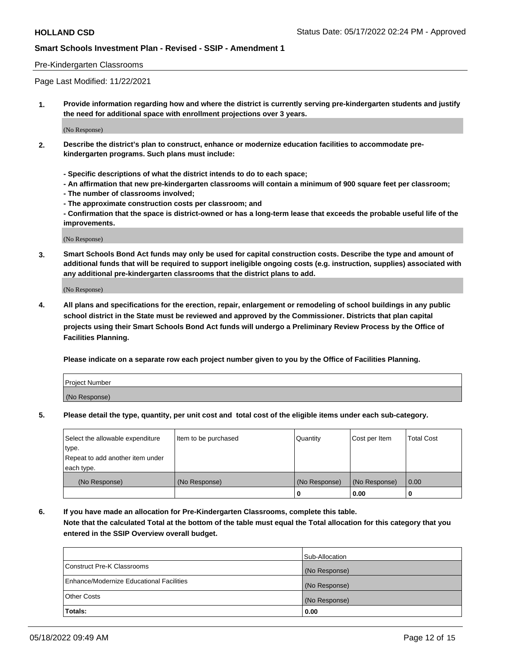## Pre-Kindergarten Classrooms

Page Last Modified: 11/22/2021

**1. Provide information regarding how and where the district is currently serving pre-kindergarten students and justify the need for additional space with enrollment projections over 3 years.**

(No Response)

- **2. Describe the district's plan to construct, enhance or modernize education facilities to accommodate prekindergarten programs. Such plans must include:**
	- **Specific descriptions of what the district intends to do to each space;**
	- **An affirmation that new pre-kindergarten classrooms will contain a minimum of 900 square feet per classroom;**
	- **The number of classrooms involved;**
	- **The approximate construction costs per classroom; and**
	- **Confirmation that the space is district-owned or has a long-term lease that exceeds the probable useful life of the improvements.**

(No Response)

**3. Smart Schools Bond Act funds may only be used for capital construction costs. Describe the type and amount of additional funds that will be required to support ineligible ongoing costs (e.g. instruction, supplies) associated with any additional pre-kindergarten classrooms that the district plans to add.**

(No Response)

**4. All plans and specifications for the erection, repair, enlargement or remodeling of school buildings in any public school district in the State must be reviewed and approved by the Commissioner. Districts that plan capital projects using their Smart Schools Bond Act funds will undergo a Preliminary Review Process by the Office of Facilities Planning.**

**Please indicate on a separate row each project number given to you by the Office of Facilities Planning.**

| Project Number |  |
|----------------|--|
| (No Response)  |  |

**5. Please detail the type, quantity, per unit cost and total cost of the eligible items under each sub-category.**

| Select the allowable expenditure          | Item to be purchased | Quantity      | Cost per Item | <b>Total Cost</b> |
|-------------------------------------------|----------------------|---------------|---------------|-------------------|
| type.<br>Repeat to add another item under |                      |               |               |                   |
| each type.                                |                      |               |               |                   |
| (No Response)                             | (No Response)        | (No Response) | (No Response) | 0.00              |
|                                           |                      | o             | 0.00          |                   |

**6. If you have made an allocation for Pre-Kindergarten Classrooms, complete this table.**

**Note that the calculated Total at the bottom of the table must equal the Total allocation for this category that you entered in the SSIP Overview overall budget.**

|                                          | Sub-Allocation |
|------------------------------------------|----------------|
| Construct Pre-K Classrooms               | (No Response)  |
| Enhance/Modernize Educational Facilities | (No Response)  |
| <b>Other Costs</b>                       | (No Response)  |
| Totals:                                  | 0.00           |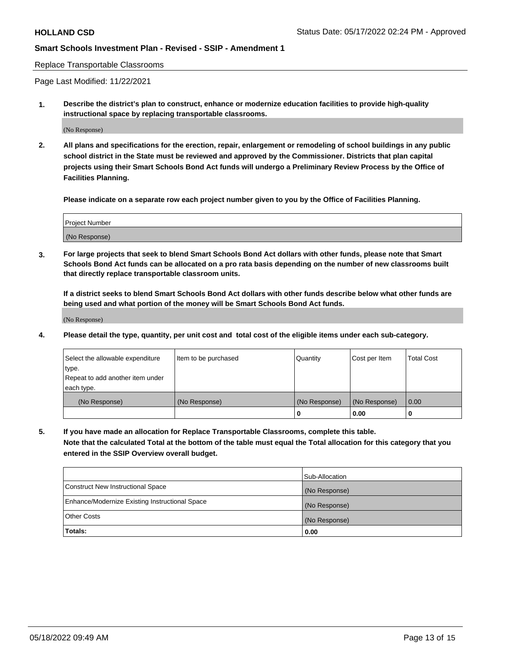Replace Transportable Classrooms

Page Last Modified: 11/22/2021

**1. Describe the district's plan to construct, enhance or modernize education facilities to provide high-quality instructional space by replacing transportable classrooms.**

(No Response)

**2. All plans and specifications for the erection, repair, enlargement or remodeling of school buildings in any public school district in the State must be reviewed and approved by the Commissioner. Districts that plan capital projects using their Smart Schools Bond Act funds will undergo a Preliminary Review Process by the Office of Facilities Planning.**

**Please indicate on a separate row each project number given to you by the Office of Facilities Planning.**

| <b>Project Number</b> |  |
|-----------------------|--|
| (No Response)         |  |

**3. For large projects that seek to blend Smart Schools Bond Act dollars with other funds, please note that Smart Schools Bond Act funds can be allocated on a pro rata basis depending on the number of new classrooms built that directly replace transportable classroom units.**

**If a district seeks to blend Smart Schools Bond Act dollars with other funds describe below what other funds are being used and what portion of the money will be Smart Schools Bond Act funds.**

(No Response)

**4. Please detail the type, quantity, per unit cost and total cost of the eligible items under each sub-category.**

| Select the allowable expenditure | Item to be purchased | Quantity      | Cost per Item | <b>Total Cost</b> |
|----------------------------------|----------------------|---------------|---------------|-------------------|
| type.                            |                      |               |               |                   |
| Repeat to add another item under |                      |               |               |                   |
| each type.                       |                      |               |               |                   |
| (No Response)                    | (No Response)        | (No Response) | (No Response) | 0.00              |
|                                  |                      | U             | 0.00          |                   |

**5. If you have made an allocation for Replace Transportable Classrooms, complete this table.**

**Note that the calculated Total at the bottom of the table must equal the Total allocation for this category that you entered in the SSIP Overview overall budget.**

|                                                | Sub-Allocation |
|------------------------------------------------|----------------|
| Construct New Instructional Space              | (No Response)  |
| Enhance/Modernize Existing Instructional Space | (No Response)  |
| <b>Other Costs</b>                             | (No Response)  |
| Totals:                                        | 0.00           |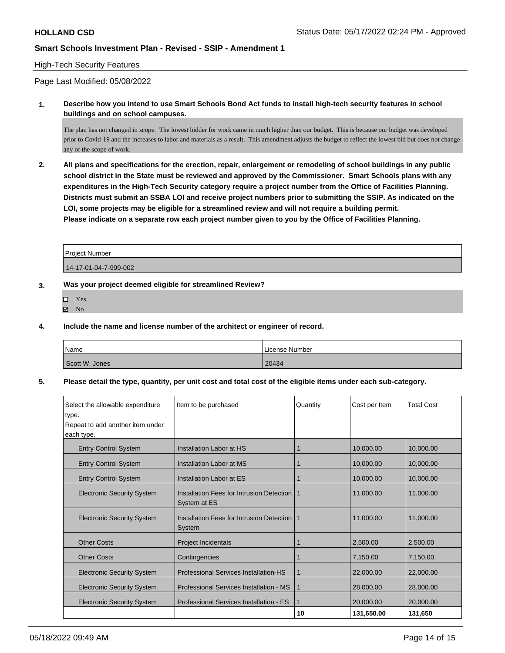## High-Tech Security Features

Page Last Modified: 05/08/2022

**1. Describe how you intend to use Smart Schools Bond Act funds to install high-tech security features in school buildings and on school campuses.**

The plan has not changed in scope. The lowest bidder for work came in much higher than our budget. This is because our budget was developed prior to Covid-19 and the increases to labor and materials as a result. This amendment adjusts the budget to reflect the lowest bid but does not change any of the scope of work.

**2. All plans and specifications for the erection, repair, enlargement or remodeling of school buildings in any public school district in the State must be reviewed and approved by the Commissioner. Smart Schools plans with any expenditures in the High-Tech Security category require a project number from the Office of Facilities Planning. Districts must submit an SSBA LOI and receive project numbers prior to submitting the SSIP. As indicated on the LOI, some projects may be eligible for a streamlined review and will not require a building permit. Please indicate on a separate row each project number given to you by the Office of Facilities Planning.**

| l Proiect Number      |  |
|-----------------------|--|
| 14-17-01-04-7-999-002 |  |

## **3. Was your project deemed eligible for streamlined Review?**

- Yes
- $\boxtimes$  No
- **4. Include the name and license number of the architect or engineer of record.**

| Name           | l License Number |
|----------------|------------------|
| Scott W. Jones | 20434            |

### **5. Please detail the type, quantity, per unit cost and total cost of the eligible items under each sub-category.**

| Select the allowable expenditure  | Item to be purchased                                      | Quantity    | Cost per Item | <b>Total Cost</b> |
|-----------------------------------|-----------------------------------------------------------|-------------|---------------|-------------------|
| type.                             |                                                           |             |               |                   |
| Repeat to add another item under  |                                                           |             |               |                   |
| each type.                        |                                                           |             |               |                   |
| <b>Entry Control System</b>       | Installation Labor at HS                                  |             | 10.000.00     | 10.000.00         |
| <b>Entry Control System</b>       | Installation Labor at MS                                  | 1           | 10,000.00     | 10,000.00         |
| <b>Entry Control System</b>       | Installation Labor at ES                                  |             | 10.000.00     | 10.000.00         |
| <b>Electronic Security System</b> | Installation Fees for Intrusion Detection<br>System at ES | -1          | 11,000.00     | 11,000.00         |
| <b>Electronic Security System</b> | Installation Fees for Intrusion Detection I<br>System     | -1          | 11,000.00     | 11,000.00         |
| <b>Other Costs</b>                | <b>Project Incidentals</b>                                |             | 2.500.00      | 2.500.00          |
| <b>Other Costs</b>                | Contingencies                                             |             | 7,150.00      | 7,150.00          |
| <b>Electronic Security System</b> | Professional Services Installation-HS                     | 1           | 22,000.00     | 22,000.00         |
| <b>Electronic Security System</b> | Professional Services Installation - MS                   | 1           | 28,000.00     | 28,000.00         |
| <b>Electronic Security System</b> | Professional Services Installation - ES                   | $\mathbf 1$ | 20,000.00     | 20,000.00         |
|                                   |                                                           | 10          | 131,650.00    | 131,650           |